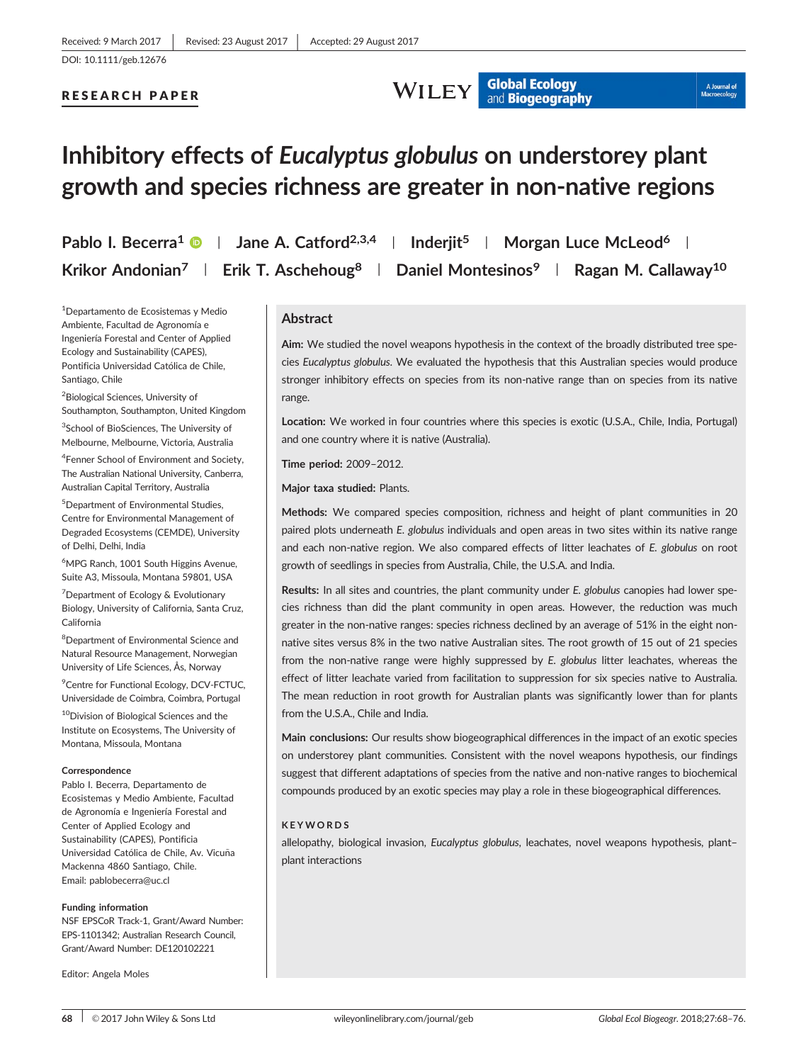#### RESEARCH PAPER

**WILEY** Global Ecology

## A Journal of

# Inhibitory effects of Eucalyptus globulus on understorey plant growth and species richness are greater in non-native regions

|  | Pablo I. Becerra <sup>1</sup> $\bullet$   Jane A. Catford <sup>2,3,4</sup>   Inderjit <sup>5</sup>   Morgan Luce McLeod <sup>6</sup> |  |
|--|--------------------------------------------------------------------------------------------------------------------------------------|--|
|  | Krikor Andonian <sup>7</sup>   Erik T. Aschehoug <sup>8</sup>   Daniel Montesinos <sup>9</sup>   Ragan M. Callaway <sup>10</sup>     |  |

<sup>1</sup>Departamento de Ecosistemas y Medio Ambiente, Facultad de Agronomía e Ingeniería Forestal and Center of Applied Ecology and Sustainability (CAPES), Pontificia Universidad Católica de Chile, Santiago, Chile

<sup>2</sup>Biological Sciences, University of Southampton, Southampton, United Kingdom

<sup>3</sup>School of BioSciences, The University of Melbourne, Melbourne, Victoria, Australia

4 Fenner School of Environment and Society, The Australian National University, Canberra, Australian Capital Territory, Australia

5 Department of Environmental Studies, Centre for Environmental Management of Degraded Ecosystems (CEMDE), University of Delhi, Delhi, India

<sup>6</sup>MPG Ranch, 1001 South Higgins Avenue, Suite A3, Missoula, Montana 59801, USA

<sup>7</sup> Department of Ecology & Evolutionary Biology, University of California, Santa Cruz, California

<sup>8</sup>Department of Environmental Science and Natural Resource Management, Norwegian University of Life Sciences, Ås, Norway

<sup>9</sup> Centre for Functional Ecology, DCV-FCTUC, Universidade de Coimbra, Coimbra, Portugal

10Division of Biological Sciences and the Institute on Ecosystems, The University of Montana, Missoula, Montana

#### Correspondence

Pablo I. Becerra, Departamento de Ecosistemas y Medio Ambiente, Facultad de Agronomía e Ingeniería Forestal and Center of Applied Ecology and Sustainability (CAPES), Pontificia Universidad Católica de Chile, Av. Vicuña Mackenna 4860 Santiago, Chile. Email: pablobecerra@uc.cl

#### Funding information

NSF EPSCoR Track-1, Grant/Award Number: EPS-1101342; Australian Research Council, Grant/Award Number: DE120102221

Editor: Angela Moles

#### Abstract

Aim: We studied the novel weapons hypothesis in the context of the broadly distributed tree species Eucalyptus globulus. We evaluated the hypothesis that this Australian species would produce stronger inhibitory effects on species from its non-native range than on species from its native range.

Location: We worked in four countries where this species is exotic (U.S.A., Chile, India, Portugal) and one country where it is native (Australia).

Time period: 2009–2012.

Major taxa studied: Plants.

Methods: We compared species composition, richness and height of plant communities in 20 paired plots underneath E. globulus individuals and open areas in two sites within its native range and each non-native region. We also compared effects of litter leachates of E. globulus on root growth of seedlings in species from Australia, Chile, the U.S.A. and India.

Results: In all sites and countries, the plant community under E. globulus canopies had lower species richness than did the plant community in open areas. However, the reduction was much greater in the non-native ranges: species richness declined by an average of 51% in the eight nonnative sites versus 8% in the two native Australian sites. The root growth of 15 out of 21 species from the non-native range were highly suppressed by E. globulus litter leachates, whereas the effect of litter leachate varied from facilitation to suppression for six species native to Australia. The mean reduction in root growth for Australian plants was significantly lower than for plants from the U.S.A., Chile and India.

Main conclusions: Our results show biogeographical differences in the impact of an exotic species on understorey plant communities. Consistent with the novel weapons hypothesis, our findings suggest that different adaptations of species from the native and non-native ranges to biochemical compounds produced by an exotic species may play a role in these biogeographical differences.

#### KEYWORDS

allelopathy, biological invasion, Eucalyptus globulus, leachates, novel weapons hypothesis, plantplant interactions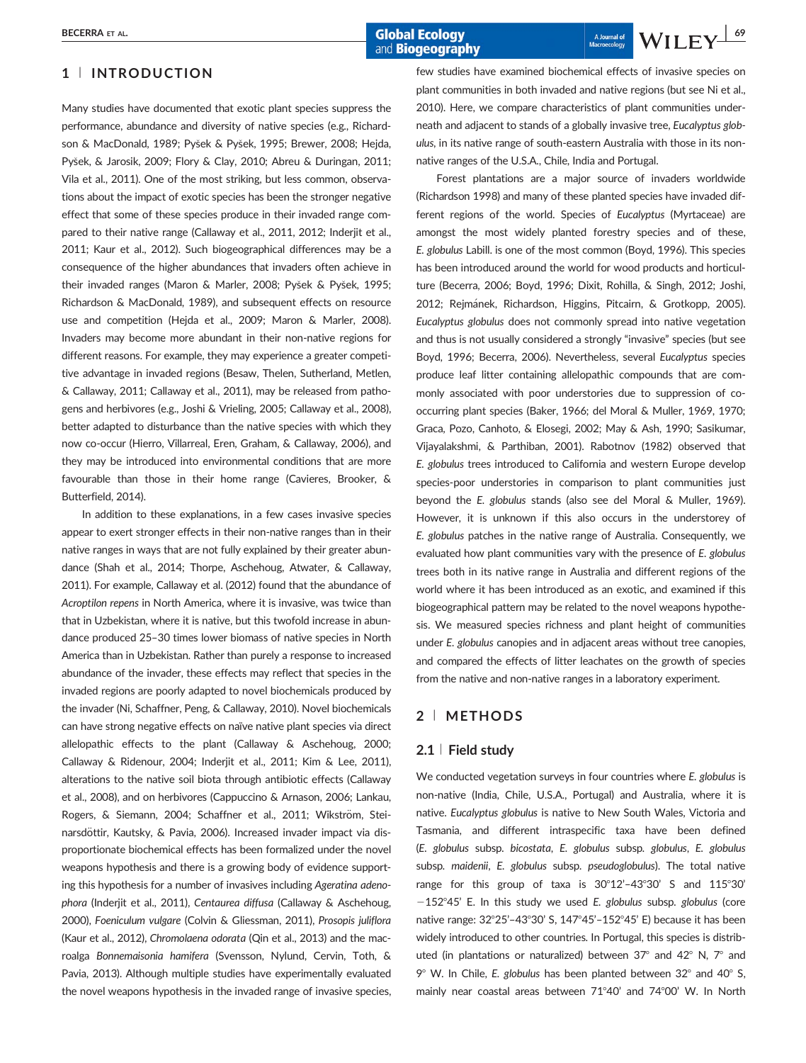Many studies have documented that exotic plant species suppress the performance, abundance and diversity of native species (e.g., Richardson & MacDonald, 1989; Pysek & Pysek, 1995; Brewer, 2008; Hejda, Pysek, & Jarosik, 2009; Flory & Clay, 2010; Abreu & Duringan, 2011; Vila et al., 2011). One of the most striking, but less common, observations about the impact of exotic species has been the stronger negative effect that some of these species produce in their invaded range compared to their native range (Callaway et al., 2011, 2012; Inderjit et al., 2011; Kaur et al., 2012). Such biogeographical differences may be a consequence of the higher abundances that invaders often achieve in their invaded ranges (Maron & Marler, 2008; Pyšek & Pyšek, 1995; Richardson & MacDonald, 1989), and subsequent effects on resource use and competition (Hejda et al., 2009; Maron & Marler, 2008). Invaders may become more abundant in their non-native regions for different reasons. For example, they may experience a greater competitive advantage in invaded regions (Besaw, Thelen, Sutherland, Metlen, & Callaway, 2011; Callaway et al., 2011), may be released from pathogens and herbivores (e.g., Joshi & Vrieling, 2005; Callaway et al., 2008), better adapted to disturbance than the native species with which they now co-occur (Hierro, Villarreal, Eren, Graham, & Callaway, 2006), and they may be introduced into environmental conditions that are more favourable than those in their home range (Cavieres, Brooker, & Butterfield, 2014).

In addition to these explanations, in a few cases invasive species appear to exert stronger effects in their non-native ranges than in their native ranges in ways that are not fully explained by their greater abundance (Shah et al., 2014; Thorpe, Aschehoug, Atwater, & Callaway, 2011). For example, Callaway et al. (2012) found that the abundance of Acroptilon repens in North America, where it is invasive, was twice than that in Uzbekistan, where it is native, but this twofold increase in abundance produced 25–30 times lower biomass of native species in North America than in Uzbekistan. Rather than purely a response to increased abundance of the invader, these effects may reflect that species in the invaded regions are poorly adapted to novel biochemicals produced by the invader (Ni, Schaffner, Peng, & Callaway, 2010). Novel biochemicals can have strong negative effects on naïve native plant species via direct allelopathic effects to the plant (Callaway & Aschehoug, 2000; Callaway & Ridenour, 2004; Inderjit et al., 2011; Kim & Lee, 2011), alterations to the native soil biota through antibiotic effects (Callaway et al., 2008), and on herbivores (Cappuccino & Arnason, 2006; Lankau, Rogers, & Siemann, 2004; Schaffner et al., 2011; Wikström, Steinarsdöttir, Kautsky, & Pavia, 2006). Increased invader impact via disproportionate biochemical effects has been formalized under the novel weapons hypothesis and there is a growing body of evidence supporting this hypothesis for a number of invasives including Ageratina adenophora (Inderjit et al., 2011), Centaurea diffusa (Callaway & Aschehoug, 2000), Foeniculum vulgare (Colvin & Gliessman, 2011), Prosopis juliflora (Kaur et al., 2012), Chromolaena odorata (Qin et al., 2013) and the macroalga Bonnemaisonia hamifera (Svensson, Nylund, Cervin, Toth, & Pavia, 2013). Although multiple studies have experimentally evaluated the novel weapons hypothesis in the invaded range of invasive species,

few studies have examined biochemical effects of invasive species on plant communities in both invaded and native regions (but see Ni et al., 2010). Here, we compare characteristics of plant communities underneath and adjacent to stands of a globally invasive tree, Eucalyptus globulus, in its native range of south-eastern Australia with those in its nonnative ranges of the U.S.A., Chile, India and Portugal.

Forest plantations are a major source of invaders worldwide (Richardson 1998) and many of these planted species have invaded different regions of the world. Species of Eucalyptus (Myrtaceae) are amongst the most widely planted forestry species and of these, E. globulus Labill. is one of the most common (Boyd, 1996). This species has been introduced around the world for wood products and horticulture (Becerra, 2006; Boyd, 1996; Dixit, Rohilla, & Singh, 2012; Joshi, 2012; Rejmánek, Richardson, Higgins, Pitcairn, & Grotkopp, 2005). Eucalyptus globulus does not commonly spread into native vegetation and thus is not usually considered a strongly "invasive" species (but see Boyd, 1996; Becerra, 2006). Nevertheless, several Eucalyptus species produce leaf litter containing allelopathic compounds that are commonly associated with poor understories due to suppression of cooccurring plant species (Baker, 1966; del Moral & Muller, 1969, 1970; Graca, Pozo, Canhoto, & Elosegi, 2002; May & Ash, 1990; Sasikumar, Vijayalakshmi, & Parthiban, 2001). Rabotnov (1982) observed that E. globulus trees introduced to California and western Europe develop species-poor understories in comparison to plant communities just beyond the E. globulus stands (also see del Moral & Muller, 1969). However, it is unknown if this also occurs in the understorey of E. globulus patches in the native range of Australia. Consequently, we evaluated how plant communities vary with the presence of E. globulus trees both in its native range in Australia and different regions of the world where it has been introduced as an exotic, and examined if this biogeographical pattern may be related to the novel weapons hypothesis. We measured species richness and plant height of communities under E. globulus canopies and in adjacent areas without tree canopies, and compared the effects of litter leachates on the growth of species from the native and non-native ranges in a laboratory experiment.

#### 2 <sup>|</sup> METHODS

#### $2.1 \perp$  Field study

We conducted vegetation surveys in four countries where E. globulus is non-native (India, Chile, U.S.A., Portugal) and Australia, where it is native. Eucalyptus globulus is native to New South Wales, Victoria and Tasmania, and different intraspecific taxa have been defined (E. globulus subsp. bicostata, E. globulus subsp. globulus, E. globulus subsp. maidenii, E. globulus subsp. pseudoglobulus). The total native range for this group of taxa is  $30^{\circ}12'$ -43°30' S and  $115^{\circ}30'$  $-152^{\circ}45'$  E. In this study we used E. globulus subsp. globulus (core native range: 32°25'-43°30' S, 147°45'-152°45' E) because it has been widely introduced to other countries. In Portugal, this species is distributed (in plantations or naturalized) between  $37^{\circ}$  and  $42^{\circ}$  N,  $7^{\circ}$  and  $9^{\circ}$  W. In Chile, E. globulus has been planted between 32 $^{\circ}$  and 40 $^{\circ}$  S, mainly near coastal areas between  $71^{\circ}40'$  and  $74^{\circ}00'$  W. In North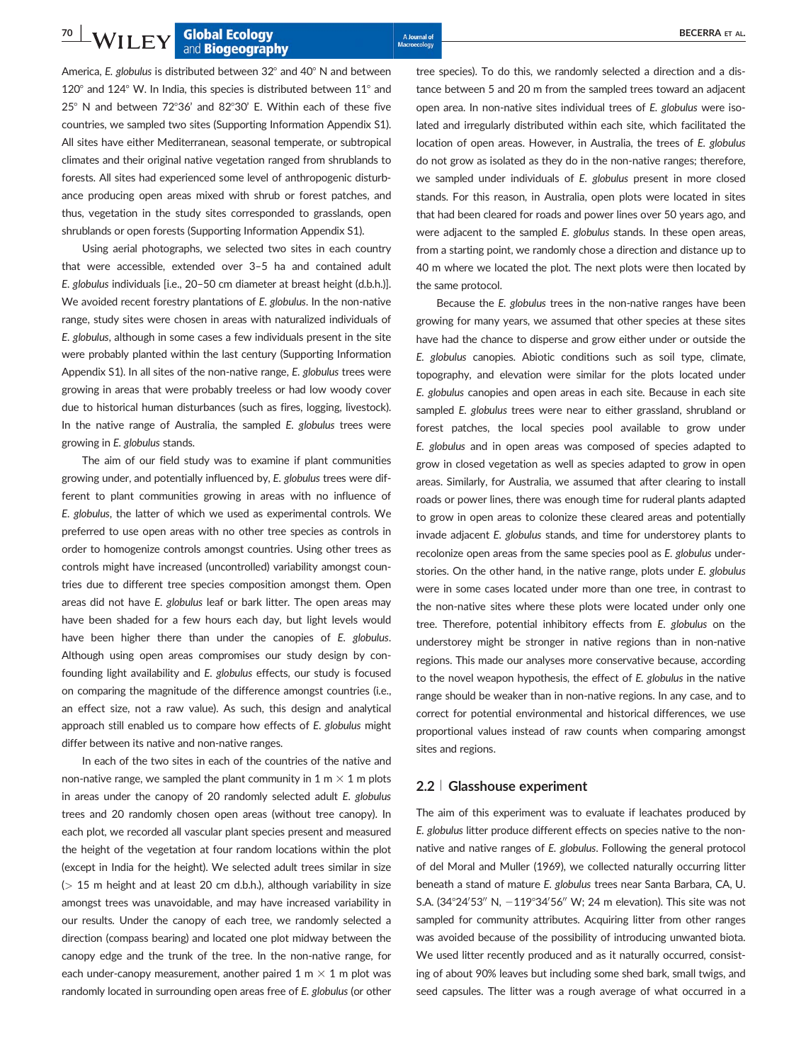America, E. globulus is distributed between  $32^{\circ}$  and  $40^{\circ}$  N and between  $120^{\circ}$  and  $124^{\circ}$  W. In India, this species is distributed between  $11^{\circ}$  and  $25^\circ$  N and between 72°36' and 82°30' E. Within each of these five countries, we sampled two sites (Supporting Information Appendix S1). All sites have either Mediterranean, seasonal temperate, or subtropical climates and their original native vegetation ranged from shrublands to forests. All sites had experienced some level of anthropogenic disturbance producing open areas mixed with shrub or forest patches, and thus, vegetation in the study sites corresponded to grasslands, open shrublands or open forests (Supporting Information Appendix S1).

Using aerial photographs, we selected two sites in each country that were accessible, extended over 3–5 ha and contained adult E. globulus individuals [i.e., 20–50 cm diameter at breast height (d.b.h.)]. We avoided recent forestry plantations of E. globulus. In the non-native range, study sites were chosen in areas with naturalized individuals of E. globulus, although in some cases a few individuals present in the site were probably planted within the last century (Supporting Information Appendix S1). In all sites of the non-native range, E. globulus trees were growing in areas that were probably treeless or had low woody cover due to historical human disturbances (such as fires, logging, livestock). In the native range of Australia, the sampled E. globulus trees were growing in E. globulus stands.

The aim of our field study was to examine if plant communities growing under, and potentially influenced by, E. globulus trees were different to plant communities growing in areas with no influence of E. globulus, the latter of which we used as experimental controls. We preferred to use open areas with no other tree species as controls in order to homogenize controls amongst countries. Using other trees as controls might have increased (uncontrolled) variability amongst countries due to different tree species composition amongst them. Open areas did not have E. globulus leaf or bark litter. The open areas may have been shaded for a few hours each day, but light levels would have been higher there than under the canopies of E. globulus. Although using open areas compromises our study design by confounding light availability and E. globulus effects, our study is focused on comparing the magnitude of the difference amongst countries (i.e., an effect size, not a raw value). As such, this design and analytical approach still enabled us to compare how effects of E. globulus might differ between its native and non-native ranges.

In each of the two sites in each of the countries of the native and non-native range, we sampled the plant community in  $1 \text{ m} \times 1 \text{ m}$  plots in areas under the canopy of 20 randomly selected adult E. globulus trees and 20 randomly chosen open areas (without tree canopy). In each plot, we recorded all vascular plant species present and measured the height of the vegetation at four random locations within the plot (except in India for the height). We selected adult trees similar in size (> 15 m height and at least 20 cm d.b.h.), although variability in size amongst trees was unavoidable, and may have increased variability in our results. Under the canopy of each tree, we randomly selected a direction (compass bearing) and located one plot midway between the canopy edge and the trunk of the tree. In the non-native range, for each under-canopy measurement, another paired 1 m  $\times$  1 m plot was randomly located in surrounding open areas free of E. globulus (or other

tree species). To do this, we randomly selected a direction and a distance between 5 and 20 m from the sampled trees toward an adjacent open area. In non-native sites individual trees of E. globulus were isolated and irregularly distributed within each site, which facilitated the location of open areas. However, in Australia, the trees of E. globulus do not grow as isolated as they do in the non-native ranges; therefore, we sampled under individuals of E. globulus present in more closed stands. For this reason, in Australia, open plots were located in sites that had been cleared for roads and power lines over 50 years ago, and were adjacent to the sampled E. globulus stands. In these open areas, from a starting point, we randomly chose a direction and distance up to 40 m where we located the plot. The next plots were then located by the same protocol.

Because the E. globulus trees in the non-native ranges have been growing for many years, we assumed that other species at these sites have had the chance to disperse and grow either under or outside the E. globulus canopies. Abiotic conditions such as soil type, climate, topography, and elevation were similar for the plots located under E. globulus canopies and open areas in each site. Because in each site sampled E. globulus trees were near to either grassland, shrubland or forest patches, the local species pool available to grow under E. globulus and in open areas was composed of species adapted to grow in closed vegetation as well as species adapted to grow in open areas. Similarly, for Australia, we assumed that after clearing to install roads or power lines, there was enough time for ruderal plants adapted to grow in open areas to colonize these cleared areas and potentially invade adjacent E. globulus stands, and time for understorey plants to recolonize open areas from the same species pool as E. globulus understories. On the other hand, in the native range, plots under E. globulus were in some cases located under more than one tree, in contrast to the non-native sites where these plots were located under only one tree. Therefore, potential inhibitory effects from E. globulus on the understorey might be stronger in native regions than in non-native regions. This made our analyses more conservative because, according to the novel weapon hypothesis, the effect of E. globulus in the native range should be weaker than in non-native regions. In any case, and to correct for potential environmental and historical differences, we use proportional values instead of raw counts when comparing amongst sites and regions.

#### 2.2 <sup>|</sup> Glasshouse experiment

The aim of this experiment was to evaluate if leachates produced by E. globulus litter produce different effects on species native to the nonnative and native ranges of E. globulus. Following the general protocol of del Moral and Muller (1969), we collected naturally occurring litter beneath a stand of mature E. globulus trees near Santa Barbara, CA, U. S.A. (34 $^{\circ}$ 24'53" N,  $-119^{\circ}$ 34'56" W; 24 m elevation). This site was not sampled for community attributes. Acquiring litter from other ranges was avoided because of the possibility of introducing unwanted biota. We used litter recently produced and as it naturally occurred, consisting of about 90% leaves but including some shed bark, small twigs, and seed capsules. The litter was a rough average of what occurred in a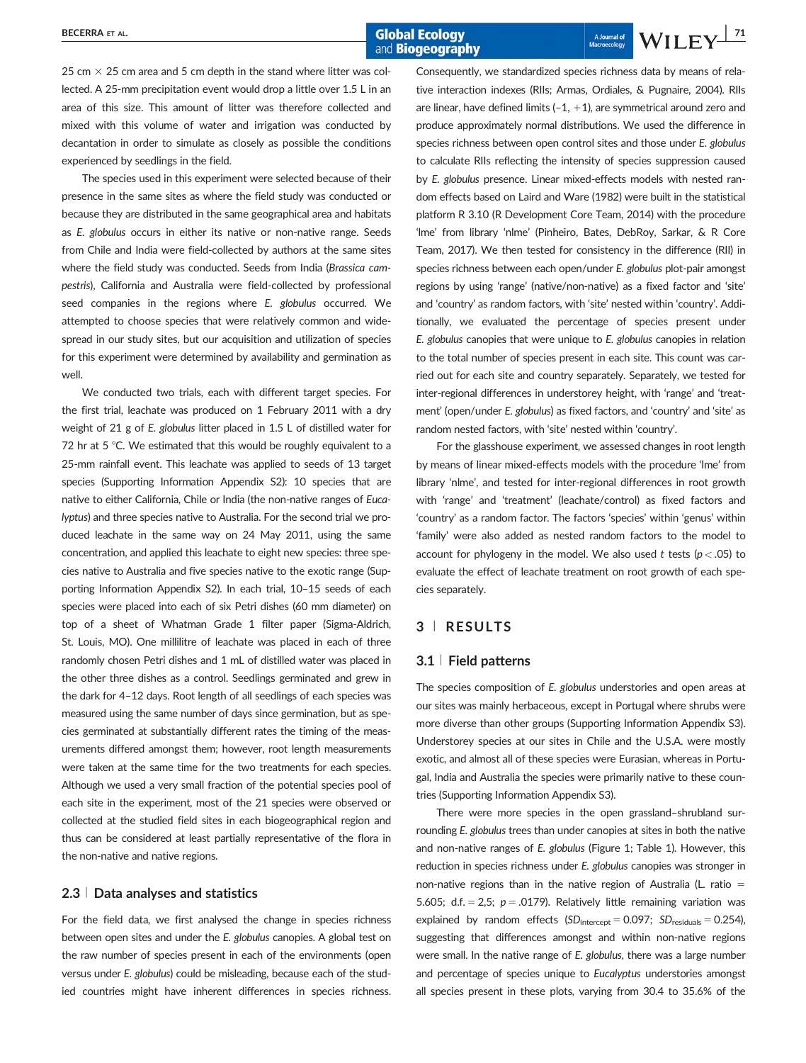and **Biogeography** 

25 cm  $\times$  25 cm area and 5 cm depth in the stand where litter was collected. A 25-mm precipitation event would drop a little over 1.5 L in an area of this size. This amount of litter was therefore collected and mixed with this volume of water and irrigation was conducted by decantation in order to simulate as closely as possible the conditions experienced by seedlings in the field.

The species used in this experiment were selected because of their presence in the same sites as where the field study was conducted or because they are distributed in the same geographical area and habitats as E. globulus occurs in either its native or non-native range. Seeds from Chile and India were field-collected by authors at the same sites where the field study was conducted. Seeds from India (Brassica campestris), California and Australia were field-collected by professional seed companies in the regions where E. globulus occurred. We attempted to choose species that were relatively common and widespread in our study sites, but our acquisition and utilization of species for this experiment were determined by availability and germination as well.

We conducted two trials, each with different target species. For the first trial, leachate was produced on 1 February 2011 with a dry weight of 21 g of E. globulus litter placed in 1.5 L of distilled water for 72 hr at  $5^{\circ}$ C. We estimated that this would be roughly equivalent to a 25-mm rainfall event. This leachate was applied to seeds of 13 target species (Supporting Information Appendix S2): 10 species that are native to either California, Chile or India (the non-native ranges of Eucalyptus) and three species native to Australia. For the second trial we produced leachate in the same way on 24 May 2011, using the same concentration, and applied this leachate to eight new species: three species native to Australia and five species native to the exotic range (Supporting Information Appendix S2). In each trial, 10–15 seeds of each species were placed into each of six Petri dishes (60 mm diameter) on top of a sheet of Whatman Grade 1 filter paper (Sigma-Aldrich, St. Louis, MO). One millilitre of leachate was placed in each of three randomly chosen Petri dishes and 1 mL of distilled water was placed in the other three dishes as a control. Seedlings germinated and grew in the dark for 4–12 days. Root length of all seedlings of each species was measured using the same number of days since germination, but as species germinated at substantially different rates the timing of the measurements differed amongst them; however, root length measurements were taken at the same time for the two treatments for each species. Although we used a very small fraction of the potential species pool of each site in the experiment, most of the 21 species were observed or collected at the studied field sites in each biogeographical region and thus can be considered at least partially representative of the flora in the non-native and native regions.

#### 2.3 <sup>|</sup> Data analyses and statistics

For the field data, we first analysed the change in species richness between open sites and under the E. globulus canopies. A global test on the raw number of species present in each of the environments (open versus under E. globulus) could be misleading, because each of the studied countries might have inherent differences in species richness.

Consequently, we standardized species richness data by means of relative interaction indexes (RIIs; Armas, Ordiales, & Pugnaire, 2004). RIIs are linear, have defined limits  $(-1, +1)$ , are symmetrical around zero and produce approximately normal distributions. We used the difference in species richness between open control sites and those under E. globulus to calculate RIIs reflecting the intensity of species suppression caused by E. globulus presence. Linear mixed-effects models with nested random effects based on Laird and Ware (1982) were built in the statistical platform R 3.10 (R Development Core Team, 2014) with the procedure 'lme' from library 'nlme' (Pinheiro, Bates, DebRoy, Sarkar, & R Core Team, 2017). We then tested for consistency in the difference (RII) in species richness between each open/under E. globulus plot-pair amongst regions by using 'range' (native/non-native) as a fixed factor and 'site' and 'country' as random factors, with 'site' nested within 'country'. Additionally, we evaluated the percentage of species present under E. globulus canopies that were unique to E. globulus canopies in relation to the total number of species present in each site. This count was carried out for each site and country separately. Separately, we tested for inter-regional differences in understorey height, with 'range' and 'treatment' (open/under E. globulus) as fixed factors, and 'country' and 'site' as random nested factors, with 'site' nested within 'country'.

For the glasshouse experiment, we assessed changes in root length by means of linear mixed-effects models with the procedure 'lme' from library 'nlme', and tested for inter-regional differences in root growth with 'range' and 'treatment' (leachate/control) as fixed factors and 'country' as a random factor. The factors 'species' within 'genus' within 'family' were also added as nested random factors to the model to account for phylogeny in the model. We also used t tests ( $p < .05$ ) to evaluate the effect of leachate treatment on root growth of each species separately.

#### 3 <sup>|</sup> RESULTS

#### 3.1 <sup>|</sup> Field patterns

The species composition of E. globulus understories and open areas at our sites was mainly herbaceous, except in Portugal where shrubs were more diverse than other groups (Supporting Information Appendix S3). Understorey species at our sites in Chile and the U.S.A. were mostly exotic, and almost all of these species were Eurasian, whereas in Portugal, India and Australia the species were primarily native to these countries (Supporting Information Appendix S3).

There were more species in the open grassland–shrubland surrounding E. globulus trees than under canopies at sites in both the native and non-native ranges of E. globulus (Figure 1; Table 1). However, this reduction in species richness under E. globulus canopies was stronger in non-native regions than in the native region of Australia (L. ratio  $=$ 5.605; d.f. = 2,5;  $p = .0179$ ). Relatively little remaining variation was explained by random effects  $(SD_{intercept} = 0.097; SD_{residuals} = 0.254)$ , suggesting that differences amongst and within non-native regions were small. In the native range of E. globulus, there was a large number and percentage of species unique to Eucalyptus understories amongst all species present in these plots, varying from 30.4 to 35.6% of the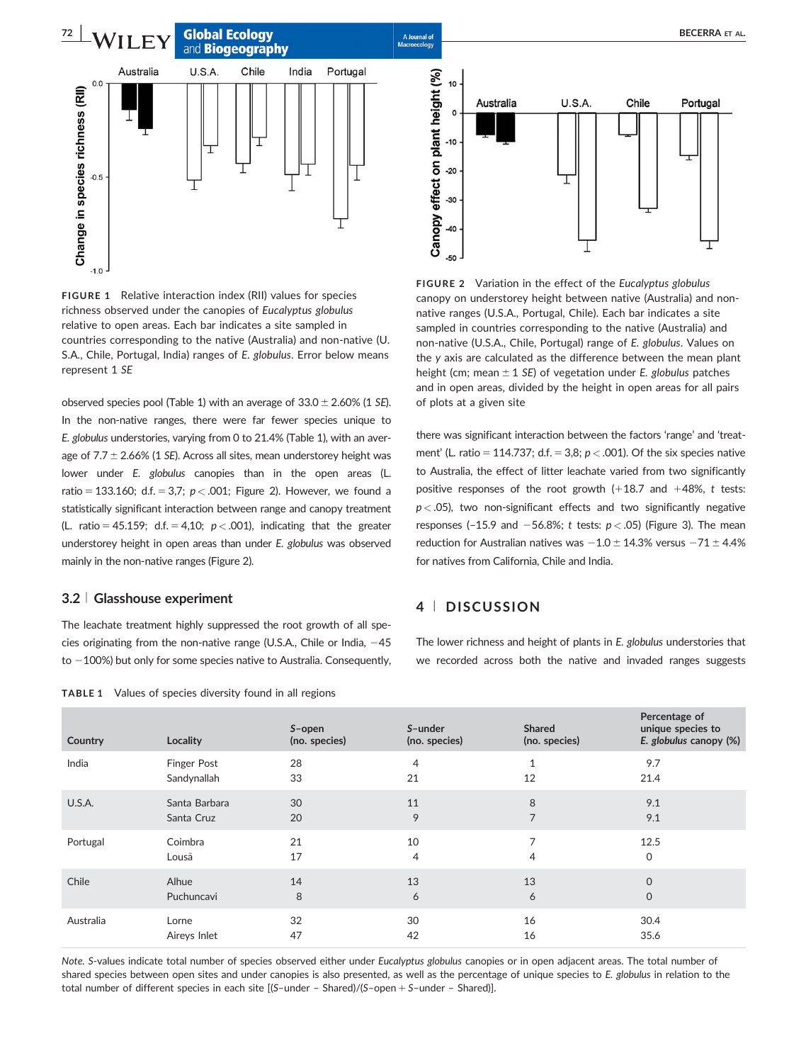**72 WII FY** Global Ecology BECERRA ET AL. and **Biogeography** 



FIGURE 1 Relative interaction index (RII) values for species richness observed under the canopies of Eucalyptus globulus relative to open areas. Each bar indicates a site sampled in countries corresponding to the native (Australia) and non-native (U. S.A., Chile, Portugal, India) ranges of E. globulus. Error below means represent 1 SE

observed species pool (Table 1) with an average of  $33.0 \pm 2.60\%$  (1 SE). In the non-native ranges, there were far fewer species unique to E. globulus understories, varying from 0 to 21.4% (Table 1), with an average of  $7.7 \pm 2.66\%$  (1 SE). Across all sites, mean understorey height was lower under E. globulus canopies than in the open areas (L. ratio = 133.160; d.f. = 3,7;  $p < .001$ ; Figure 2). However, we found a statistically significant interaction between range and canopy treatment (L. ratio = 45.159; d.f. = 4,10;  $p < .001$ ), indicating that the greater understorey height in open areas than under E. globulus was observed mainly in the non-native ranges (Figure 2).

#### 3.2 <sup>|</sup> Glasshouse experiment

The leachate treatment highly suppressed the root growth of all species originating from the non-native range (U.S.A., Chile or India,  $-45$ to  $-100%$ ) but only for some species native to Australia. Consequently,

|  | <b>TABLE 1</b> Values of species diversity found in all regions |  |  |  |  |  |
|--|-----------------------------------------------------------------|--|--|--|--|--|
|--|-----------------------------------------------------------------|--|--|--|--|--|



FIGURE 2 Variation in the effect of the Eucalyptus globulus canopy on understorey height between native (Australia) and nonnative ranges (U.S.A., Portugal, Chile). Each bar indicates a site sampled in countries corresponding to the native (Australia) and non-native (U.S.A., Chile, Portugal) range of E. globulus. Values on the y axis are calculated as the difference between the mean plant height (cm; mean  $\pm$  1 SE) of vegetation under E. globulus patches and in open areas, divided by the height in open areas for all pairs of plots at a given site

there was significant interaction between the factors 'range' and 'treatment' (L. ratio = 114.737; d.f. = 3,8;  $p < .001$ ). Of the six species native to Australia, the effect of litter leachate varied from two significantly positive responses of the root growth  $(+18.7$  and  $+48\%$ , t tests:  $p < .05$ ), two non-significant effects and two significantly negative responses (-15.9 and -56.8%; t tests:  $p < .05$ ) (Figure 3). The mean reduction for Australian natives was  $-1.0 \pm 14.3\%$  versus  $-71 \pm 4.4\%$ for natives from California, Chile and India.

#### 4 <sup>|</sup> DISCUSSION

The lower richness and height of plants in E. globulus understories that we recorded across both the native and invaded ranges suggests

| Country   | Locality           | S-open<br>(no. species) | S-under<br>(no. species) | <b>Shared</b><br>(no. species) | Percentage of<br>unique species to<br>E. globulus canopy (%) |
|-----------|--------------------|-------------------------|--------------------------|--------------------------------|--------------------------------------------------------------|
| India     | <b>Finger Post</b> | 28                      | 4                        | $\mathbf{1}$                   | 9.7                                                          |
|           | Sandynallah        | 33                      | 21                       | 12                             | 21.4                                                         |
| U.S.A.    | Santa Barbara      | 30                      | 11                       | 8                              | 9.1                                                          |
|           | Santa Cruz         | 20                      | 9                        | $\overline{7}$                 | 9.1                                                          |
| Portugal  | Coimbra            | 21                      | 10                       | 7                              | 12.5                                                         |
|           | Lousã              | 17                      | 4                        | $\overline{4}$                 | 0                                                            |
| Chile     | Alhue              | 14                      | 13                       | 13                             | $\mathbf{O}$                                                 |
|           | Puchuncavi         | 8                       | 6                        | 6                              | $\mathbf 0$                                                  |
| Australia | Lorne              | 32                      | 30                       | 16                             | 30.4                                                         |
|           | Aireys Inlet       | 47                      | 42                       | 16                             | 35.6                                                         |

Note. S-values indicate total number of species observed either under Eucalyptus globulus canopies or in open adjacent areas. The total number of shared species between open sites and under canopies is also presented, as well as the percentage of unique species to E. globulus in relation to the total number of different species in each site  $[(S-under - Shared)/(S-open + S-under - Shared)]$ .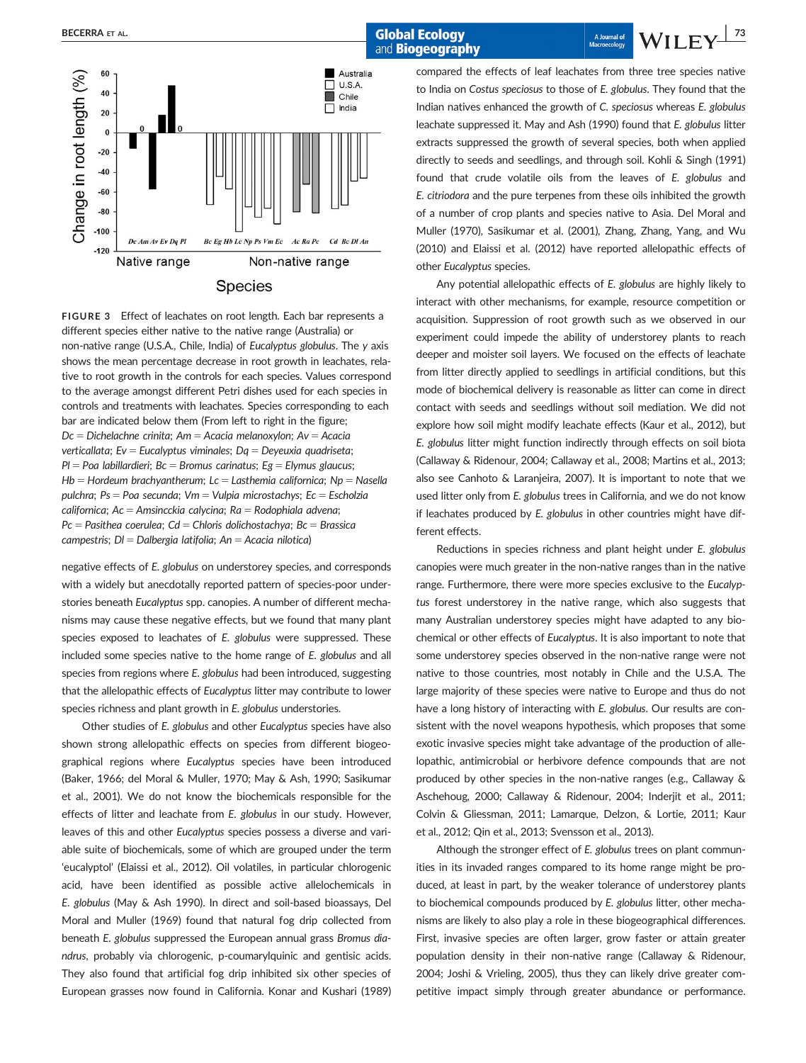## and **Biogeography**

BECERRA ET AL. | 73



FIGURE 3 Effect of leachates on root length. Each bar represents a different species either native to the native range (Australia) or non-native range (U.S.A., Chile, India) of Eucalyptus globulus. The y axis shows the mean percentage decrease in root growth in leachates, relative to root growth in the controls for each species. Values correspond to the average amongst different Petri dishes used for each species in controls and treatments with leachates. Species corresponding to each bar are indicated below them (From left to right in the figure;  $Dc = Dichelachne crinita$ ; Am = Acacia melanoxylon; Av = Acacia verticallata; Ev = Eucalyptus viminales; Dq = Deyeuxia quadriseta;  $Pl = Poa$  labillardieri; Bc = Bromus carinatus; Eg = Elymus glaucus;  $Hb =$  Hordeum brachyantherum; Lc = Lasthemia californica; Np = Nasella pulchra; Ps = Poa secunda; Vm = Vulpia microstachys; Ec = Escholzia californica;  $Ac = Amsincckia calycina; Ra = Rodophiala advena;$  $Pc =$  Pasithea coerulea; Cd = Chloris dolichostachya; Bc = Brassica campestris;  $DI = Dalbergia latifolia; An = Accaia nilotica)$ 

negative effects of E. globulus on understorey species, and corresponds with a widely but anecdotally reported pattern of species-poor understories beneath Eucalyptus spp. canopies. A number of different mechanisms may cause these negative effects, but we found that many plant species exposed to leachates of E. globulus were suppressed. These included some species native to the home range of E. globulus and all species from regions where E. globulus had been introduced, suggesting that the allelopathic effects of Eucalyptus litter may contribute to lower species richness and plant growth in E. globulus understories.

Other studies of E. globulus and other Eucalyptus species have also shown strong allelopathic effects on species from different biogeographical regions where Eucalyptus species have been introduced (Baker, 1966; del Moral & Muller, 1970; May & Ash, 1990; Sasikumar et al., 2001). We do not know the biochemicals responsible for the effects of litter and leachate from E. globulus in our study. However, leaves of this and other Eucalyptus species possess a diverse and variable suite of biochemicals, some of which are grouped under the term 'eucalyptol' (Elaissi et al., 2012). Oil volatiles, in particular chlorogenic acid, have been identified as possible active allelochemicals in E. globulus (May & Ash 1990). In direct and soil-based bioassays, Del Moral and Muller (1969) found that natural fog drip collected from beneath E. globulus suppressed the European annual grass Bromus diandrus, probably via chlorogenic, p-coumarylquinic and gentisic acids. They also found that artificial fog drip inhibited six other species of European grasses now found in California. Konar and Kushari (1989) compared the effects of leaf leachates from three tree species native to India on Costus speciosus to those of E. globulus. They found that the Indian natives enhanced the growth of C. speciosus whereas E. globulus leachate suppressed it. May and Ash (1990) found that E. globulus litter extracts suppressed the growth of several species, both when applied directly to seeds and seedlings, and through soil. Kohli & Singh (1991) found that crude volatile oils from the leaves of E. globulus and E. citriodora and the pure terpenes from these oils inhibited the growth of a number of crop plants and species native to Asia. Del Moral and Muller (1970), Sasikumar et al. (2001), Zhang, Zhang, Yang, and Wu (2010) and Elaissi et al. (2012) have reported allelopathic effects of other Eucalyptus species.

Any potential allelopathic effects of E. globulus are highly likely to interact with other mechanisms, for example, resource competition or acquisition. Suppression of root growth such as we observed in our experiment could impede the ability of understorey plants to reach deeper and moister soil layers. We focused on the effects of leachate from litter directly applied to seedlings in artificial conditions, but this mode of biochemical delivery is reasonable as litter can come in direct contact with seeds and seedlings without soil mediation. We did not explore how soil might modify leachate effects (Kaur et al., 2012), but E. globulus litter might function indirectly through effects on soil biota (Callaway & Ridenour, 2004; Callaway et al., 2008; Martins et al., 2013; also see Canhoto & Laranjeira, 2007). It is important to note that we used litter only from E. globulus trees in California, and we do not know if leachates produced by E. globulus in other countries might have different effects.

Reductions in species richness and plant height under E. globulus canopies were much greater in the non-native ranges than in the native range. Furthermore, there were more species exclusive to the Eucalyptus forest understorey in the native range, which also suggests that many Australian understorey species might have adapted to any biochemical or other effects of Eucalyptus. It is also important to note that some understorey species observed in the non-native range were not native to those countries, most notably in Chile and the U.S.A. The large majority of these species were native to Europe and thus do not have a long history of interacting with E. globulus. Our results are consistent with the novel weapons hypothesis, which proposes that some exotic invasive species might take advantage of the production of allelopathic, antimicrobial or herbivore defence compounds that are not produced by other species in the non-native ranges (e.g., Callaway & Aschehoug, 2000; Callaway & Ridenour, 2004; Inderjit et al., 2011; Colvin & Gliessman, 2011; Lamarque, Delzon, & Lortie, 2011; Kaur et al., 2012; Qin et al., 2013; Svensson et al., 2013).

Although the stronger effect of E. globulus trees on plant communities in its invaded ranges compared to its home range might be produced, at least in part, by the weaker tolerance of understorey plants to biochemical compounds produced by E. globulus litter, other mechanisms are likely to also play a role in these biogeographical differences. First, invasive species are often larger, grow faster or attain greater population density in their non-native range (Callaway & Ridenour, 2004; Joshi & Vrieling, 2005), thus they can likely drive greater competitive impact simply through greater abundance or performance.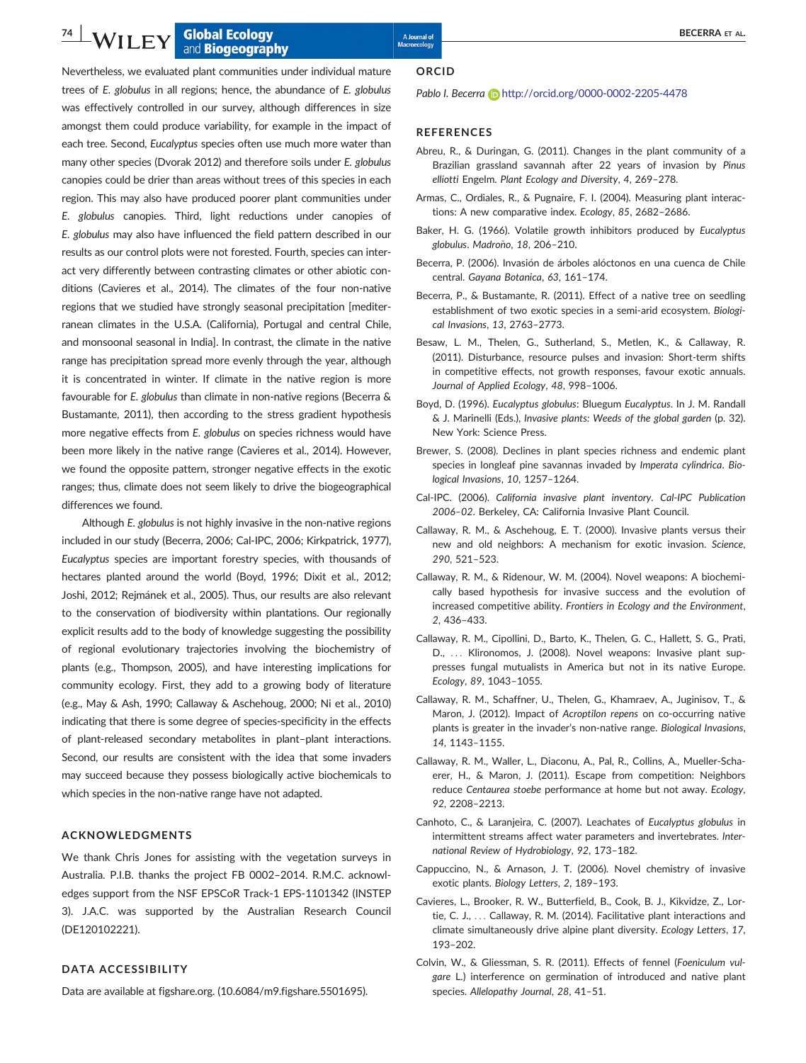### **1.** Supplement of the College of the Magnetic Secondary and the Magnetic Secondary **SECERRA ET AL.** and **Biogeography**

Nevertheless, we evaluated plant communities under individual mature trees of E. globulus in all regions; hence, the abundance of E. globulus was effectively controlled in our survey, although differences in size amongst them could produce variability, for example in the impact of each tree. Second, Eucalyptus species often use much more water than many other species (Dvorak 2012) and therefore soils under E. globulus canopies could be drier than areas without trees of this species in each region. This may also have produced poorer plant communities under E. globulus canopies. Third, light reductions under canopies of E. globulus may also have influenced the field pattern described in our results as our control plots were not forested. Fourth, species can interact very differently between contrasting climates or other abiotic conditions (Cavieres et al., 2014). The climates of the four non-native regions that we studied have strongly seasonal precipitation [mediterranean climates in the U.S.A. (California), Portugal and central Chile, and monsoonal seasonal in India]. In contrast, the climate in the native range has precipitation spread more evenly through the year, although it is concentrated in winter. If climate in the native region is more favourable for E. globulus than climate in non-native regions (Becerra & Bustamante, 2011), then according to the stress gradient hypothesis more negative effects from E. globulus on species richness would have been more likely in the native range (Cavieres et al., 2014). However, we found the opposite pattern, stronger negative effects in the exotic ranges; thus, climate does not seem likely to drive the biogeographical differences we found.

Although E. globulus is not highly invasive in the non-native regions included in our study (Becerra, 2006; Cal-IPC, 2006; Kirkpatrick, 1977), Eucalyptus species are important forestry species, with thousands of hectares planted around the world (Boyd, 1996; Dixit et al., 2012; Joshi, 2012; Rejmánek et al., 2005). Thus, our results are also relevant to the conservation of biodiversity within plantations. Our regionally explicit results add to the body of knowledge suggesting the possibility of regional evolutionary trajectories involving the biochemistry of plants (e.g., Thompson, 2005), and have interesting implications for community ecology. First, they add to a growing body of literature (e.g., May & Ash, 1990; Callaway & Aschehoug, 2000; Ni et al., 2010) indicating that there is some degree of species-specificity in the effects of plant-released secondary metabolites in plant–plant interactions. Second, our results are consistent with the idea that some invaders may succeed because they possess biologically active biochemicals to which species in the non-native range have not adapted.

#### ACKNOWLEDGMENTS

We thank Chris Jones for assisting with the vegetation surveys in Australia. P.I.B. thanks the project FB 0002–2014. R.M.C. acknowledges support from the NSF EPSCoR Track-1 EPS-1101342 (INSTEP 3). J.A.C. was supported by the Australian Research Council (DE120102221).

#### DATA ACCESSIBILITY

Data are available at figshare.org. (10.6084/m9.figshare.5501695).

**ORCID** 

#### Pablo I. Becerra (D <http://orcid.org/0000-0002-2205-4478>

#### **REFERENCES**

- Abreu, R., & Duringan, G. (2011). Changes in the plant community of a Brazilian grassland savannah after 22 years of invasion by Pinus elliotti Engelm. Plant Ecology and Diversity, 4, 269–278.
- Armas, C., Ordiales, R., & Pugnaire, F. I. (2004). Measuring plant interactions: A new comparative index. Ecology, 85, 2682–2686.
- Baker, H. G. (1966). Volatile growth inhibitors produced by Eucalyptus globulus. Madroño, 18, 206-210.
- Becerra, P. (2006). Invasión de árboles alóctonos en una cuenca de Chile central. Gayana Botanica, 63, 161–174.
- Becerra, P., & Bustamante, R. (2011). Effect of a native tree on seedling establishment of two exotic species in a semi-arid ecosystem. Biological Invasions, 13, 2763–2773.
- Besaw, L. M., Thelen, G., Sutherland, S., Metlen, K., & Callaway, R. (2011). Disturbance, resource pulses and invasion: Short-term shifts in competitive effects, not growth responses, favour exotic annuals. Journal of Applied Ecology, 48, 998–1006.
- Boyd, D. (1996). Eucalyptus globulus: Bluegum Eucalyptus. In J. M. Randall & J. Marinelli (Eds.), Invasive plants: Weeds of the global garden (p. 32). New York: Science Press.
- Brewer, S. (2008). Declines in plant species richness and endemic plant species in longleaf pine savannas invaded by Imperata cylindrica. Biological Invasions, 10, 1257–1264.
- Cal-IPC. (2006). California invasive plant inventory. Cal-IPC Publication 2006–02. Berkeley, CA: California Invasive Plant Council.
- Callaway, R. M., & Aschehoug, E. T. (2000). Invasive plants versus their new and old neighbors: A mechanism for exotic invasion. Science, 290, 521–523.
- Callaway, R. M., & Ridenour, W. M. (2004). Novel weapons: A biochemically based hypothesis for invasive success and the evolution of increased competitive ability. Frontiers in Ecology and the Environment, 2, 436–433.
- Callaway, R. M., Cipollini, D., Barto, K., Thelen, G. C., Hallett, S. G., Prati, D., ... Klironomos, J. (2008). Novel weapons: Invasive plant suppresses fungal mutualists in America but not in its native Europe. Ecology, 89, 1043–1055.
- Callaway, R. M., Schaffner, U., Thelen, G., Khamraev, A., Juginisov, T., & Maron, J. (2012). Impact of Acroptilon repens on co-occurring native plants is greater in the invader's non-native range. Biological Invasions, 14, 1143–1155.
- Callaway, R. M., Waller, L., Diaconu, A., Pal, R., Collins, A., Mueller-Schaerer, H., & Maron, J. (2011). Escape from competition: Neighbors reduce Centaurea stoebe performance at home but not away. Ecology, 92, 2208–2213.
- Canhoto, C., & Laranjeira, C. (2007). Leachates of Eucalyptus globulus in intermittent streams affect water parameters and invertebrates. International Review of Hydrobiology, 92, 173–182.
- Cappuccino, N., & Arnason, J. T. (2006). Novel chemistry of invasive exotic plants. Biology Letters, 2, 189–193.
- Cavieres, L., Brooker, R. W., Butterfield, B., Cook, B. J., Kikvidze, Z., Lortie, C. J., ... Callaway, R. M. (2014). Facilitative plant interactions and climate simultaneously drive alpine plant diversity. Ecology Letters, 17, 193–202.
- Colvin, W., & Gliessman, S. R. (2011). Effects of fennel (Foeniculum vulgare L.) interference on germination of introduced and native plant species. Allelopathy Journal, 28, 41–51.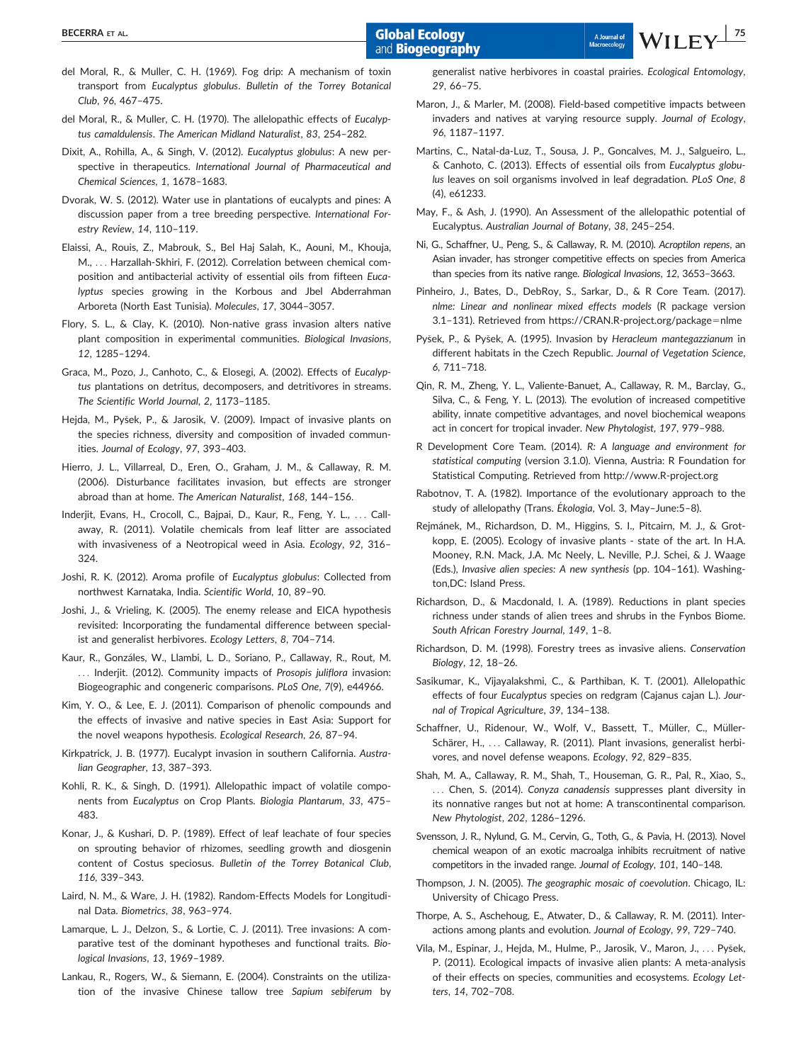and **Biogeography** 

- del Moral, R., & Muller, C. H. (1969). Fog drip: A mechanism of toxin transport from Eucalyptus globulus. Bulletin of the Torrey Botanical Club, 96, 467–475.
- del Moral, R., & Muller, C. H. (1970). The allelopathic effects of Eucalyptus camaldulensis. The American Midland Naturalist, 83, 254–282.
- Dixit, A., Rohilla, A., & Singh, V. (2012). Eucalyptus globulus: A new perspective in therapeutics. International Journal of Pharmaceutical and Chemical Sciences, 1, 1678–1683.
- Dvorak, W. S. (2012). Water use in plantations of eucalypts and pines: A discussion paper from a tree breeding perspective. International Forestry Review, 14, 110–119.
- Elaissi, A., Rouis, Z., Mabrouk, S., Bel Haj Salah, K., Aouni, M., Khouja, M., ... Harzallah-Skhiri, F. (2012). Correlation between chemical composition and antibacterial activity of essential oils from fifteen Eucalyptus species growing in the Korbous and Jbel Abderrahman Arboreta (North East Tunisia). Molecules, 17, 3044–3057.
- Flory, S. L., & Clay, K. (2010). Non-native grass invasion alters native plant composition in experimental communities. Biological Invasions, 12, 1285–1294.
- Graca, M., Pozo, J., Canhoto, C., & Elosegi, A. (2002). Effects of Eucalyptus plantations on detritus, decomposers, and detritivores in streams. The Scientific World Journal, 2, 1173–1185.
- Hejda, M., Pysek, P., & Jarosik, V. (2009). Impact of invasive plants on the species richness, diversity and composition of invaded communities. Journal of Ecology, 97, 393–403.
- Hierro, J. L., Villarreal, D., Eren, O., Graham, J. M., & Callaway, R. M. (2006). Disturbance facilitates invasion, but effects are stronger abroad than at home. The American Naturalist, 168, 144–156.
- Inderjit, Evans, H., Crocoll, C., Bajpai, D., Kaur, R., Feng, Y. L., ... Callaway, R. (2011). Volatile chemicals from leaf litter are associated with invasiveness of a Neotropical weed in Asia. Ecology, 92, 316– 324.
- Joshi, R. K. (2012). Aroma profile of Eucalyptus globulus: Collected from northwest Karnataka, India. Scientific World, 10, 89–90.
- Joshi, J., & Vrieling, K. (2005). The enemy release and EICA hypothesis revisited: Incorporating the fundamental difference between specialist and generalist herbivores. Ecology Letters, 8, 704–714.
- Kaur, R., Gonzales, W., Llambi, L. D., Soriano, P., Callaway, R., Rout, M. ... Inderjit. (2012). Community impacts of Prosopis juliflora invasion: Biogeographic and congeneric comparisons. PLoS One, 7(9), e44966.
- Kim, Y. O., & Lee, E. J. (2011). Comparison of phenolic compounds and the effects of invasive and native species in East Asia: Support for the novel weapons hypothesis. Ecological Research, 26, 87–94.
- Kirkpatrick, J. B. (1977). Eucalypt invasion in southern California. Australian Geographer, 13, 387–393.
- Kohli, R. K., & Singh, D. (1991). Allelopathic impact of volatile components from Eucalyptus on Crop Plants. Biologia Plantarum, 33, 475– 483.
- Konar, J., & Kushari, D. P. (1989). Effect of leaf leachate of four species on sprouting behavior of rhizomes, seedling growth and diosgenin content of Costus speciosus. Bulletin of the Torrey Botanical Club, 116, 339–343.
- Laird, N. M., & Ware, J. H. (1982). Random-Effects Models for Longitudinal Data. Biometrics, 38, 963–974.
- Lamarque, L. J., Delzon, S., & Lortie, C. J. (2011). Tree invasions: A comparative test of the dominant hypotheses and functional traits. Biological Invasions, 13, 1969–1989.
- Lankau, R., Rogers, W., & Siemann, E. (2004). Constraints on the utilization of the invasive Chinese tallow tree Sapium sebiferum by

generalist native herbivores in coastal prairies. Ecological Entomology, 29, 66–75.

- Maron, J., & Marler, M. (2008). Field-based competitive impacts between invaders and natives at varying resource supply. Journal of Ecology, 96, 1187–1197.
- Martins, C., Natal-da-Luz, T., Sousa, J. P., Goncalves, M. J., Salgueiro, L., & Canhoto, C. (2013). Effects of essential oils from Eucalyptus globulus leaves on soil organisms involved in leaf degradation. PLoS One, 8 (4), e61233.
- May, F., & Ash, J. (1990). An Assessment of the allelopathic potential of Eucalyptus. Australian Journal of Botany, 38, 245–254.
- Ni, G., Schaffner, U., Peng, S., & Callaway, R. M. (2010). Acroptilon repens, an Asian invader, has stronger competitive effects on species from America than species from its native range. Biological Invasions, 12, 3653–3663.
- Pinheiro, J., Bates, D., DebRoy, S., Sarkar, D., & R Core Team. (2017). nlme: Linear and nonlinear mixed effects models (R package version 3.1-131). Retrieved from [https://CRAN.R-project.org/package](https://CRAN.R-project.org/package=nlme)=[nlme](https://CRAN.R-project.org/package=nlme)
- Pysek, P., & Pysek, A. (1995). Invasion by Heracleum mantegazzianum in different habitats in the Czech Republic. Journal of Vegetation Science, 6, 711–718.
- Qin, R. M., Zheng, Y. L., Valiente-Banuet, A., Callaway, R. M., Barclay, G., Silva, C., & Feng, Y. L. (2013). The evolution of increased competitive ability, innate competitive advantages, and novel biochemical weapons act in concert for tropical invader. New Phytologist, 197, 979–988.
- R Development Core Team. (2014). R: A language and environment for statistical computing (version 3.1.0). Vienna, Austria: R Foundation for Statistical Computing. Retrieved from<http://www.R-project.org>
- Rabotnov, T. A. (1982). Importance of the evolutionary approach to the study of allelopathy (Trans. Ékologia, Vol. 3, May-June:5-8).
- Rejmánek, M., Richardson, D. M., Higgins, S. I., Pitcairn, M. J., & Grotkopp, E. (2005). Ecology of invasive plants - state of the art. In H.A. Mooney, R.N. Mack, J.A. Mc Neely, L. Neville, P.J. Schei, & J. Waage (Eds.), Invasive alien species: A new synthesis (pp. 104–161). Washington,DC: Island Press.
- Richardson, D., & Macdonald, I. A. (1989). Reductions in plant species richness under stands of alien trees and shrubs in the Fynbos Biome. South African Forestry Journal, 149, 1–8.
- Richardson, D. M. (1998). Forestry trees as invasive aliens. Conservation Biology, 12, 18–26.
- Sasikumar, K., Vijayalakshmi, C., & Parthiban, K. T. (2001). Allelopathic effects of four Eucalyptus species on redgram (Cajanus cajan L.). Journal of Tropical Agriculture, 39, 134–138.
- Schaffner, U., Ridenour, W., Wolf, V., Bassett, T., Müller, C., Müller-Schärer, H., ... Callaway, R. (2011). Plant invasions, generalist herbivores, and novel defense weapons. Ecology, 92, 829–835.
- Shah, M. A., Callaway, R. M., Shah, T., Houseman, G. R., Pal, R., Xiao, S., ... Chen, S. (2014). Conyza canadensis suppresses plant diversity in its nonnative ranges but not at home: A transcontinental comparison. New Phytologist, 202, 1286–1296.
- Svensson, J. R., Nylund, G. M., Cervin, G., Toth, G., & Pavia, H. (2013). Novel chemical weapon of an exotic macroalga inhibits recruitment of native competitors in the invaded range. Journal of Ecology, 101, 140–148.
- Thompson, J. N. (2005). The geographic mosaic of coevolution. Chicago, IL: University of Chicago Press.
- Thorpe, A. S., Aschehoug, E., Atwater, D., & Callaway, R. M. (2011). Interactions among plants and evolution. Journal of Ecology, 99, 729–740.
- Vila, M., Espinar, J., Hejda, M., Hulme, P., Jarosik, V., Maron, J., ... Pysek, P. (2011). Ecological impacts of invasive alien plants: A meta-analysis of their effects on species, communities and ecosystems. Ecology Letters, 14, 702–708.